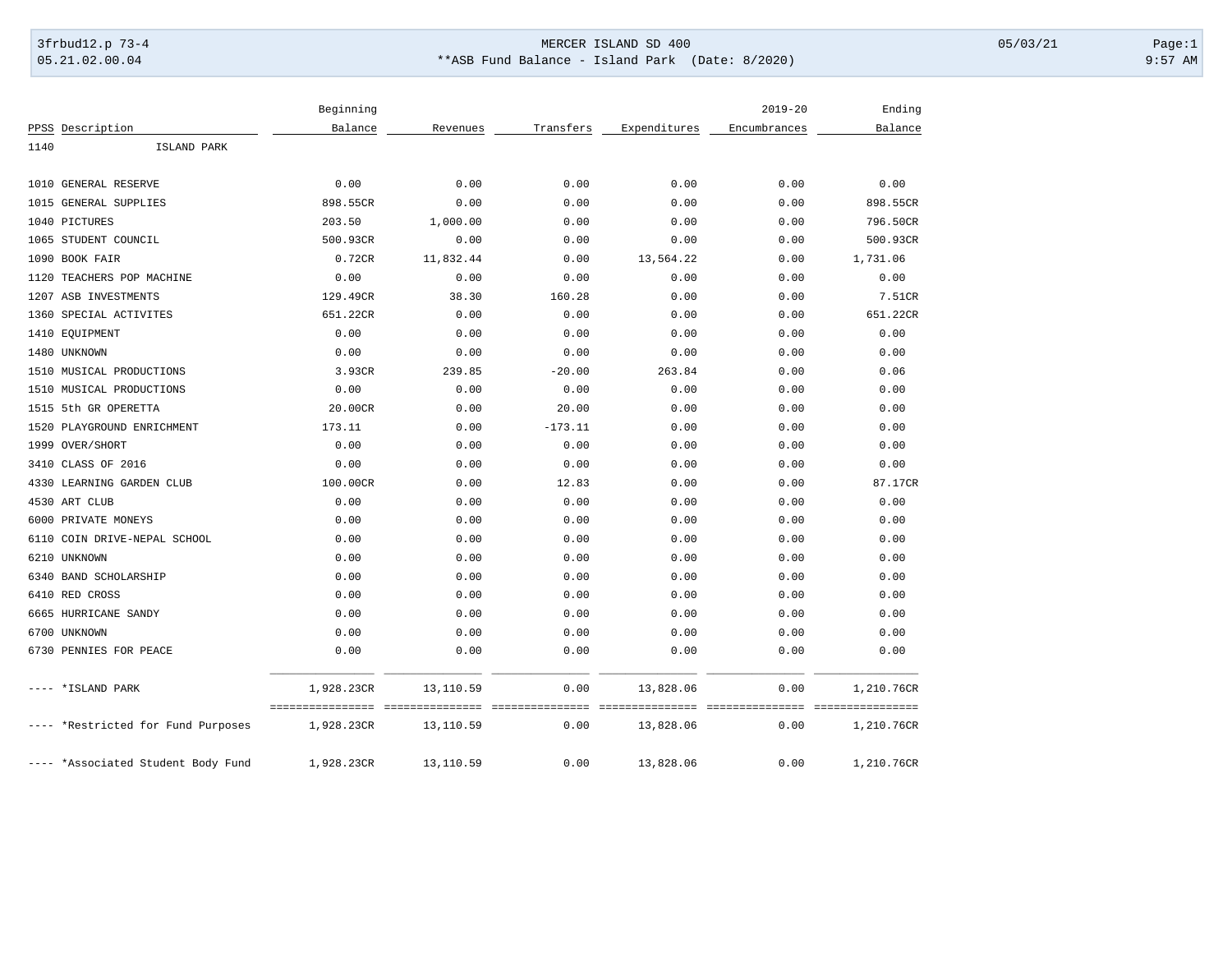## 3frbud12.p 73-4 Page:1 Page:1 05.21.02.00.04 \*\*ASB Fund Balance - Island Park (Date: 8/2020) 9:57 AM

|      |                                    | Beginning  |           |           |              | $2019 - 20$  | Ending     |
|------|------------------------------------|------------|-----------|-----------|--------------|--------------|------------|
|      | PPSS Description                   | Balance    | Revenues  | Transfers | Expenditures | Encumbrances | Balance    |
| 1140 | ISLAND PARK                        |            |           |           |              |              |            |
|      | 1010 GENERAL RESERVE               | 0.00       | 0.00      | 0.00      | 0.00         | 0.00         | 0.00       |
|      | 1015 GENERAL SUPPLIES              | 898.55CR   | 0.00      | 0.00      | 0.00         | 0.00         | 898.55CR   |
|      | 1040 PICTURES                      | 203.50     | 1,000.00  | 0.00      | 0.00         | 0.00         | 796.50CR   |
|      | 1065 STUDENT COUNCIL               | 500.93CR   | 0.00      | 0.00      | 0.00         | 0.00         | 500.93CR   |
|      | 1090 BOOK FAIR                     | 0.72CR     | 11,832.44 | 0.00      | 13,564.22    | 0.00         | 1,731.06   |
|      | 1120 TEACHERS POP MACHINE          | 0.00       | 0.00      | 0.00      | 0.00         | 0.00         | 0.00       |
|      | 1207 ASB INVESTMENTS               | 129.49CR   | 38.30     | 160.28    | 0.00         | 0.00         | 7.51CR     |
|      | 1360 SPECIAL ACTIVITES             | 651.22CR   | 0.00      | 0.00      | 0.00         | 0.00         | 651.22CR   |
|      | 1410 EQUIPMENT                     | 0.00       | 0.00      | 0.00      | 0.00         | 0.00         | 0.00       |
|      | 1480 UNKNOWN                       | 0.00       | 0.00      | 0.00      | 0.00         | 0.00         | 0.00       |
|      | 1510 MUSICAL PRODUCTIONS           | 3.93CR     | 239.85    | $-20.00$  | 263.84       | 0.00         | 0.06       |
|      | 1510 MUSICAL PRODUCTIONS           | 0.00       | 0.00      | 0.00      | 0.00         | 0.00         | 0.00       |
|      | 1515 5th GR OPERETTA               | 20.00CR    | 0.00      | 20.00     | 0.00         | 0.00         | 0.00       |
|      | 1520 PLAYGROUND ENRICHMENT         | 173.11     | 0.00      | $-173.11$ | 0.00         | 0.00         | 0.00       |
|      | 1999 OVER/SHORT                    | 0.00       | 0.00      | 0.00      | 0.00         | 0.00         | 0.00       |
|      | 3410 CLASS OF 2016                 | 0.00       | 0.00      | 0.00      | 0.00         | 0.00         | 0.00       |
|      | 4330 LEARNING GARDEN CLUB          | 100.00CR   | 0.00      | 12.83     | 0.00         | 0.00         | 87.17CR    |
|      | 4530 ART CLUB                      | 0.00       | 0.00      | 0.00      | 0.00         | 0.00         | 0.00       |
|      | 6000 PRIVATE MONEYS                | 0.00       | 0.00      | 0.00      | 0.00         | 0.00         | 0.00       |
|      | 6110 COIN DRIVE-NEPAL SCHOOL       | 0.00       | 0.00      | 0.00      | 0.00         | 0.00         | 0.00       |
|      | 6210 UNKNOWN                       | 0.00       | 0.00      | 0.00      | 0.00         | 0.00         | 0.00       |
|      | 6340 BAND SCHOLARSHIP              | 0.00       | 0.00      | 0.00      | 0.00         | 0.00         | 0.00       |
|      | 6410 RED CROSS                     | 0.00       | 0.00      | 0.00      | 0.00         | 0.00         | 0.00       |
|      | 6665 HURRICANE SANDY               | 0.00       | 0.00      | 0.00      | 0.00         | 0.00         | 0.00       |
|      | 6700 UNKNOWN                       | 0.00       | 0.00      | 0.00      | 0.00         | 0.00         | 0.00       |
|      | 6730 PENNIES FOR PEACE             | 0.00       | 0.00      | 0.00      | 0.00         | 0.00         | 0.00       |
|      | *ISLAND PARK                       | 1,928.23CR | 13,110.59 | 0.00      | 13,828.06    | 0.00         | 1,210.76CR |
|      |                                    |            |           |           |              |              |            |
|      | ---- *Restricted for Fund Purposes | 1,928.23CR | 13,110.59 | 0.00      | 13,828.06    | 0.00         | 1,210.76CR |
|      | ---- *Associated Student Body Fund | 1,928.23CR | 13,110.59 | 0.00      | 13,828.06    | 0.00         | 1,210.76CR |